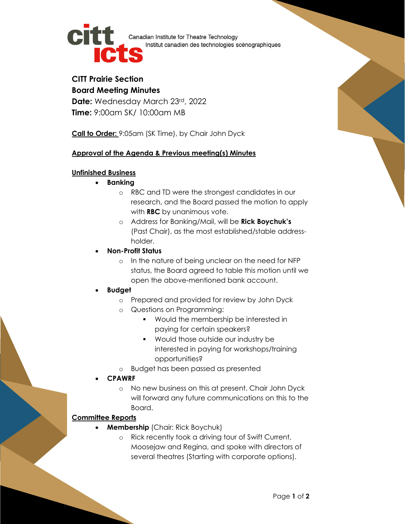

Canadian Institute for Theatre Technology Institut canadien des technologies scénographiques

## **CITT Prairie Section Board Meeting Minutes**

**Date:** Wednesday March 23rd, 2022 **Time:** 9:00am SK/ 10:00am MB

**Call to Order:** 9:05am (SK Time), by Chair John Dyck

## **Approval of the Agenda & Previous meeting(s) Minutes**

### **Unfinished Business**

- **Banking**
	- o RBC and TD were the strongest candidates in our research, and the Board passed the motion to apply with **RBC** by unanimous vote.
	- o Address for Banking/Mail, will be **Rick Boychuk's**  (Past Chair), as the most established/stable addressholder.
- **Non-Profit Status** 
	- o In the nature of being unclear on the need for NFP status, the Board agreed to table this motion until we open the above-mentioned bank account.
- **Budget**
	- o Prepared and provided for review by John Dyck
	- o Questions on Programming:
		- Would the membership be interested in paying for certain speakers?
		- Would those outside our industry be interested in paying for workshops/training opportunities?
	- o Budget has been passed as presented
- **CPAWRF**
	- o No new business on this at present. Chair John Dyck will forward any future communications on this to the Board.

# **Committee Reports**

- **Membership** (Chair: Rick Boychuk)
	- o Rick recently took a driving tour of Swift Current, Moosejaw and Regina, and spoke with directors of several theatres (Starting with corporate options).